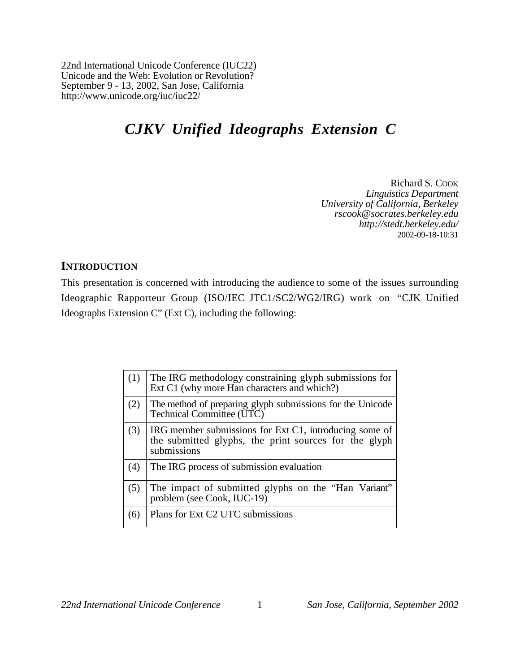22nd International Unicode Conference (IUC22) Unicode and the Web: Evolution or Revolution? September 9 - 13, 2002, San Jose, California http://www.unicode.org/iuc/iuc22/

# *CJKV Unified Ideographs Extension C*

Richard S. COOK *Linguistics Department University of California, Berkeley rscook@socrates.berkeley.edu http://stedt.berkeley.edu/* 2002-09-18-10:31

### **INTRODUCTION**

This presentation is concerned with introducing the audience to some of the issues surrounding Ideographic Rapporteur Group (ISO/IEC JTC1/SC2/WG2/IRG) work on "CJK Unified Ideographs Extension C" (Ext C), including the following:

| (1) | The IRG methodology constraining glyph submissions for<br>Ext C1 (why more Han characters and which?)                          |
|-----|--------------------------------------------------------------------------------------------------------------------------------|
| (2) | The method of preparing glyph submissions for the Unicode<br>Technical Committee (UTC)                                         |
| (3) | IRG member submissions for Ext C1, introducing some of<br>the submitted glyphs, the print sources for the glyph<br>submissions |
| (4) | The IRG process of submission evaluation                                                                                       |
| (5) | The impact of submitted glyphs on the "Han Variant"<br>problem (see Cook, IUC-19)                                              |
| (6) | Plans for Ext C2 UTC submissions                                                                                               |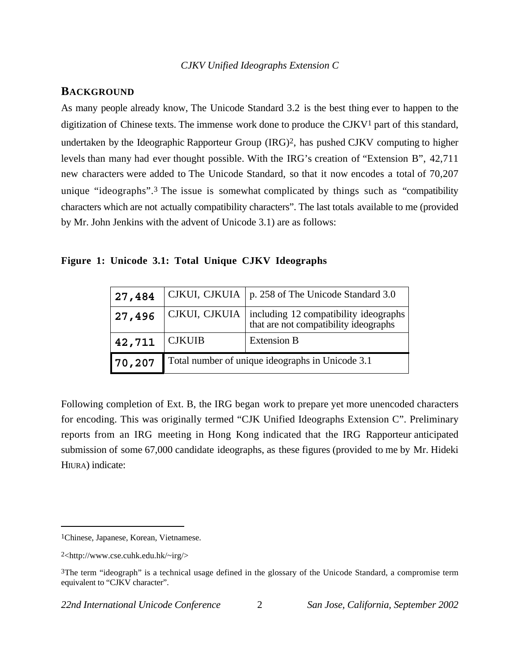### **BACKGROUND**

As many people already know, The Unicode Standard 3.2 is the best thing ever to happen to the digitization of Chinese texts. The immense work done to produce the CJKV1 part of this standard, undertaken by the Ideographic Rapporteur Group (IRG)2, has pushed CJKV computing to higher levels than many had ever thought possible. With the IRG's creation of "Extension B", 42,711 new characters were added to The Unicode Standard, so that it now encodes a total of 70,207 unique "ideographs".3 The issue is somewhat complicated by things such as "compatibility characters which are not actually compatibility characters". The last totals available to me (provided by Mr. John Jenkins with the advent of Unicode 3.1) are as follows:

|  |  |  |  |  |  |  | Figure 1: Unicode 3.1: Total Unique CJKV Ideographs |
|--|--|--|--|--|--|--|-----------------------------------------------------|
|--|--|--|--|--|--|--|-----------------------------------------------------|

| 27,484 |                                                  | CJKUI, CJKUIA   p. 258 of The Unicode Standard 3.0                               |  |
|--------|--------------------------------------------------|----------------------------------------------------------------------------------|--|
| 27,496 | CJKUI, CJKUIA                                    | including $12$ compatibility ideographs<br>that are not compatibility ideographs |  |
| 42,711 | <b>CJKUIB</b>                                    | <b>Extension B</b>                                                               |  |
| 70,207 | Total number of unique ideographs in Unicode 3.1 |                                                                                  |  |

Following completion of Ext. B, the IRG began work to prepare yet more unencoded characters for encoding. This was originally termed "CJK Unified Ideographs Extension C". Preliminary reports from an IRG meeting in Hong Kong indicated that the IRG Rapporteur anticipated submission of some 67,000 candidate ideographs, as these figures (provided to me by Mr. Hideki HIURA) indicate:

<sup>1</sup>Chinese, Japanese, Korean, Vietnamese.

<sup>2&</sup>lt;http://www.cse.cuhk.edu.hk/~irg/>

<sup>3</sup>The term "ideograph" is a technical usage defined in the glossary of the Unicode Standard, a compromise term equivalent to "CJKV character".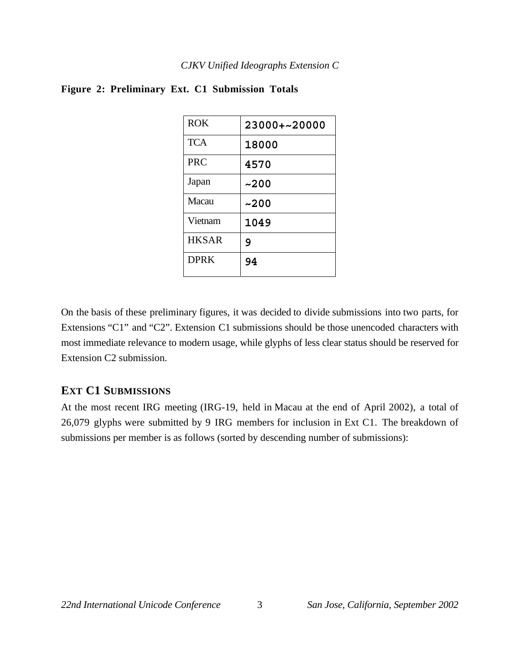| <b>ROK</b>   | 23000+~20000 |
|--------------|--------------|
| <b>TCA</b>   | 18000        |
| <b>PRC</b>   | 4570         |
| Japan        | ~200         |
| Macau        | ~200         |
| Vietnam      | 1049         |
| <b>HKSAR</b> | 9            |
| <b>DPRK</b>  | 94           |

#### **Figure 2: Preliminary Ext. C1 Submission Totals**

On the basis of these preliminary figures, it was decided to divide submissions into two parts, for Extensions "C1" and "C2". Extension C1 submissions should be those unencoded characters with most immediate relevance to modern usage, while glyphs of less clear status should be reserved for Extension C2 submission.

## **EXT C1 SUBMISSIONS**

At the most recent IRG meeting (IRG-19, held in Macau at the end of April 2002), a total of 26,079 glyphs were submitted by 9 IRG members for inclusion in Ext C1. The breakdown of submissions per member is as follows (sorted by descending number of submissions):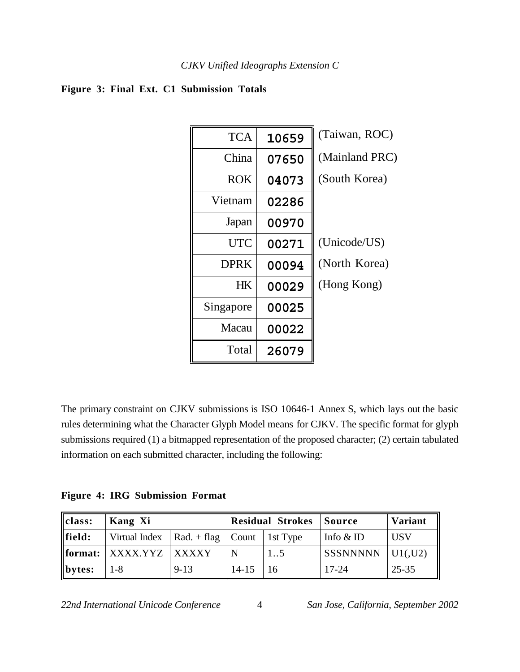## **Figure 3: Final Ext. C1 Submission Totals**

| <b>TCA</b>  | 10659 | (Taiwan, ROC)  |
|-------------|-------|----------------|
| China       | 07650 | (Mainland PRC) |
| <b>ROK</b>  | 04073 | (South Korea)  |
| Vietnam     | 02286 |                |
| Japan       | 00970 |                |
| <b>UTC</b>  | 00271 | (Unicode/US)   |
| <b>DPRK</b> | 00094 | (North Korea)  |
| HK          | 00029 | (Hong Kong)    |
| Singapore   | 00025 |                |
| Macau       | 00022 |                |
| Total       | 26079 |                |

The primary constraint on CJKV submissions is ISO 10646-1 Annex S, which lays out the basic rules determining what the Character Glyph Model means for CJKV. The specific format for glyph submissions required (1) a bitmapped representation of the proposed character; (2) certain tabulated information on each submitted character, including the following:

**Figure 4: IRG Submission Format**

| class:      | Kang Xi                                        |          | <b>Residual Strokes</b> |    | Source          | <b>Variant</b> |
|-------------|------------------------------------------------|----------|-------------------------|----|-----------------|----------------|
| $\ $ field: | Virtual Index   Rad. + flag   Count   1st Type |          |                         |    | Info $&$ ID     | <b>USV</b>     |
|             | $\ $ format: $\ $ XXXX.YYZ $\ $ XXXXY          |          | N                       | 15 | <b>SSSNNNNN</b> | UI(J2)         |
| $\ $ bytes: | 1-8                                            | $9 - 13$ | $14 - 15$               | 16 | $17 - 24$       | 25-35          |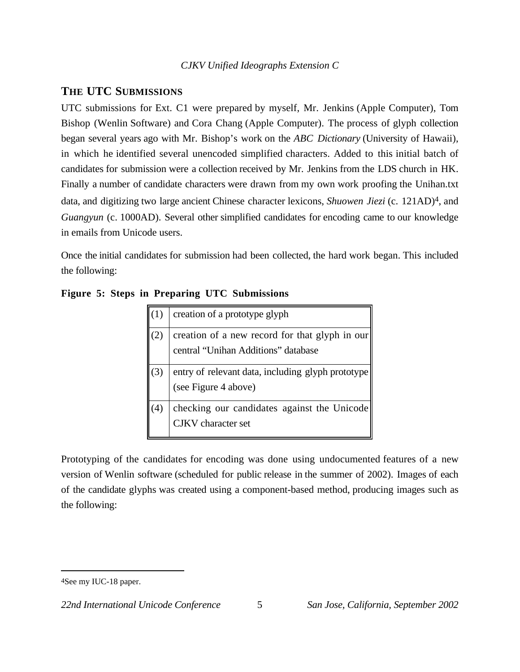## *CJKV Unified Ideographs Extension C*

## **THE UTC SUBMISSIONS**

UTC submissions for Ext. C1 were prepared by myself, Mr. Jenkins (Apple Computer), Tom Bishop (Wenlin Software) and Cora Chang (Apple Computer). The process of glyph collection began several years ago with Mr. Bishop's work on the *ABC Dictionary* (University of Hawaii), in which he identified several unencoded simplified characters. Added to this initial batch of candidates for submission were a collection received by Mr. Jenkins from the LDS church in HK. Finally a number of candidate characters were drawn from my own work proofing the Unihan.txt data, and digitizing two large ancient Chinese character lexicons, *Shuowen Jiezi* (c. 121AD)4, and *Guangyun* (c. 1000AD). Several other simplified candidates for encoding came to our knowledge in emails from Unicode users.

Once the initial candidates for submission had been collected, the hard work began. This included the following:

| $\left(1\right)$ | creation of a prototype glyph                                                         |
|------------------|---------------------------------------------------------------------------------------|
| (2)              | creation of a new record for that glyph in our<br>central "Unihan Additions" database |
| (3)              | entry of relevant data, including glyph prototype<br>(see Figure 4 above)             |
| .4)              | checking our candidates against the Unicode<br><b>CJKV</b> character set              |

**Figure 5: Steps in Preparing UTC Submissions**

Prototyping of the candidates for encoding was done using undocumented features of a new version of Wenlin software (scheduled for public release in the summer of 2002). Images of each of the candidate glyphs was created using a component-based method, producing images such as the following:

<sup>4</sup>See my IUC-18 paper.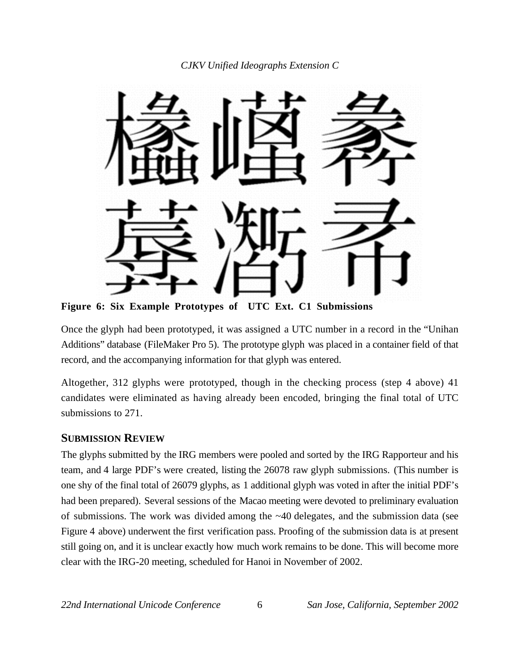

**Figure 6: Six Example Prototypes of UTC Ext. C1 Submissions**

Once the glyph had been prototyped, it was assigned a UTC number in a record in the "Unihan Additions" database (FileMaker Pro 5). The prototype glyph was placed in a container field of that record, and the accompanying information for that glyph was entered.

Altogether, 312 glyphs were prototyped, though in the checking process (step 4 above) 41 candidates were eliminated as having already been encoded, bringing the final total of UTC submissions to 271.

## **SUBMISSION REVIEW**

The glyphs submitted by the IRG members were pooled and sorted by the IRG Rapporteur and his team, and 4 large PDF's were created, listing the 26078 raw glyph submissions. (This number is one shy of the final total of 26079 glyphs, as 1 additional glyph was voted in after the initial PDF's had been prepared). Several sessions of the Macao meeting were devoted to preliminary evaluation of submissions. The work was divided among the ~40 delegates, and the submission data (see Figure 4 above) underwent the first verification pass. Proofing of the submission data is at present still going on, and it is unclear exactly how much work remains to be done. This will become more clear with the IRG-20 meeting, scheduled for Hanoi in November of 2002.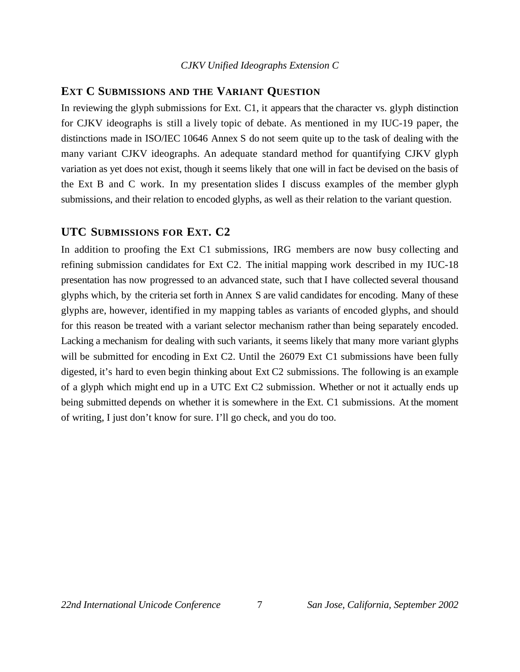#### *CJKV Unified Ideographs Extension C*

#### **EXT C SUBMISSIONS AND THE VARIANT QUESTION**

In reviewing the glyph submissions for Ext. C1, it appears that the character vs. glyph distinction for CJKV ideographs is still a lively topic of debate. As mentioned in my IUC-19 paper, the distinctions made in ISO/IEC 10646 Annex S do not seem quite up to the task of dealing with the many variant CJKV ideographs. An adequate standard method for quantifying CJKV glyph variation as yet does not exist, though it seems likely that one will in fact be devised on the basis of the Ext B and C work. In my presentation slides I discuss examples of the member glyph submissions, and their relation to encoded glyphs, as well as their relation to the variant question.

#### **UTC SUBMISSIONS FOR EXT. C2**

In addition to proofing the Ext C1 submissions, IRG members are now busy collecting and refining submission candidates for Ext C2. The initial mapping work described in my IUC-18 presentation has now progressed to an advanced state, such that I have collected several thousand glyphs which, by the criteria set forth in Annex S are valid candidates for encoding. Many of these glyphs are, however, identified in my mapping tables as variants of encoded glyphs, and should for this reason be treated with a variant selector mechanism rather than being separately encoded. Lacking a mechanism for dealing with such variants, it seems likely that many more variant glyphs will be submitted for encoding in Ext C2. Until the 26079 Ext C1 submissions have been fully digested, it's hard to even begin thinking about Ext C2 submissions. The following is an example of a glyph which might end up in a UTC Ext C2 submission. Whether or not it actually ends up being submitted depends on whether it is somewhere in the Ext. C1 submissions. At the moment of writing, I just don't know for sure. I'll go check, and you do too.